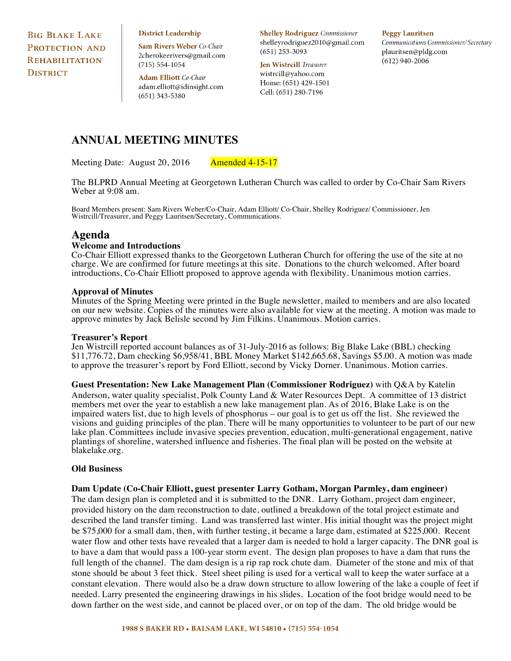**BIG BLAKE LAKE** PROTECTION AND REHABILITATION **DISTRICT** 

**District Leadership** 

Sam Rivers Weber Co-Chair 2cherokeerivers@gmail.com  $(715) 554 - 1054$ 

**Adam Elliott** Co-Chair adam.elliott@idinsight.com  $(651)$  343-5380

**Shelley Rodriguez** Commissioner shelleyrodriguez2010@gmail.com  $(651)$  253-3093

**Jen Wistrcill** Treasurer wistrcill@yahoo.com Home: (651) 429-1501 Cell: (651) 280-7196

#### **Peggy Lauritsen**

Communications Commissioner/Secretary plauritsen@pldg.com  $(612)$  940-2006

# **ANNUAL MEETING MINUTES**

Meeting Date: August 20, 2016 Amended 4-15-17

The BLPRD Annual Meeting at Georgetown Lutheran Church was called to order by Co-Chair Sam Rivers Weber at 9:08 am.

Board Members present: Sam Rivers Weber/Co-Chair, Adam Elliott/ Co-Chair, Shelley Rodriguez/ Commissioner, Jen Wistrcill/Treasurer, and Peggy Lauritsen/Secretary, Communications.

# **Agenda**

# **Welcome and Introductions**

Co-Chair Elliott expressed thanks to the Georgetown Lutheran Church for offering the use of the site at no charge. We are confirmed for future meetings at this site. Donations to the church welcomed. After board introductions, Co-Chair Elliott proposed to approve agenda with flexibility. Unanimous motion carries.

#### **Approval of Minutes**

Minutes of the Spring Meeting were printed in the Bugle newsletter, mailed to members and are also located on our new website. Copies of the minutes were also available for view at the meeting. A motion was made to approve minutes by Jack Belisle second by Jim Filkins. Unanimous. Motion carries.

#### **Treasurer's Report**

Jen Wistrcill reported account balances as of 31-July-2016 as follows: Big Blake Lake (BBL) checking \$11,776.72, Dam checking \$6,958/41, BBL Money Market \$142,665.68, Savings \$5.00. A motion was made to approve the treasurer's report by Ford Elliott, second by Vicky Dorner. Unanimous. Motion carries.

**Guest Presentation: New Lake Management Plan (Commissioner Rodriguez)** with Q&A by Katelin Anderson, water quality specialist, Polk County Land & Water Resources Dept. A committee of 13 district members met over the year to establish a new lake management plan. As of 2016, Blake Lake is on the impaired waters list, due to high levels of phosphorus – our goal is to get us off the list. She reviewed the visions and guiding principles of the plan. There will be many opportunities to volunteer to be part of our new lake plan. Committees include invasive species prevention, education, multi-generational engagement, native plantings of shoreline, watershed influence and fisheries. The final plan will be posted on the website at blakelake.org.

#### **Old Business**

#### **Dam Update (Co-Chair Elliott, guest presenter Larry Gotham, Morgan Parmley, dam engineer)**

The dam design plan is completed and it is submitted to the DNR. Larry Gotham, project dam engineer, provided history on the dam reconstruction to date, outlined a breakdown of the total project estimate and described the land transfer timing. Land was transferred last winter. His initial thought was the project might be \$75,000 for a small dam, then, with further testing, it became a large dam, estimated at \$225,000. Recent water flow and other tests have revealed that a larger dam is needed to hold a larger capacity. The DNR goal is to have a dam that would pass a 100-year storm event. The design plan proposes to have a dam that runs the full length of the channel. The dam design is a rip rap rock chute dam. Diameter of the stone and mix of that stone should be about 3 feet thick. Steel sheet piling is used for a vertical wall to keep the water surface at a constant elevation. There would also be a draw down structure to allow lowering of the lake a couple of feet if needed. Larry presented the engineering drawings in his slides. Location of the foot bridge would need to be down farther on the west side, and cannot be placed over, or on top of the dam. The old bridge would be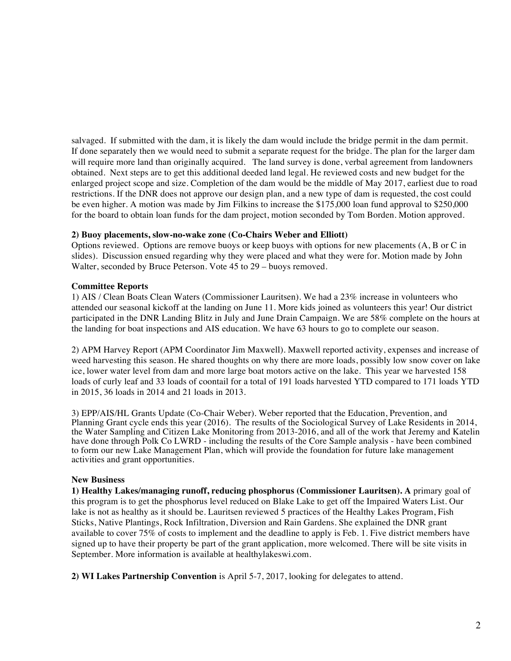salvaged. If submitted with the dam, it is likely the dam would include the bridge permit in the dam permit. If done separately then we would need to submit a separate request for the bridge. The plan for the larger dam will require more land than originally acquired. The land survey is done, verbal agreement from landowners obtained. Next steps are to get this additional deeded land legal. He reviewed costs and new budget for the enlarged project scope and size. Completion of the dam would be the middle of May 2017, earliest due to road restrictions. If the DNR does not approve our design plan, and a new type of dam is requested, the cost could be even higher. A motion was made by Jim Filkins to increase the \$175,000 loan fund approval to \$250,000 for the board to obtain loan funds for the dam project, motion seconded by Tom Borden. Motion approved.

# **2) Buoy placements, slow-no-wake zone (Co-Chairs Weber and Elliott)**

Options reviewed. Options are remove buoys or keep buoys with options for new placements (A, B or C in slides). Discussion ensued regarding why they were placed and what they were for. Motion made by John Walter, seconded by Bruce Peterson. Vote 45 to 29 – buoys removed.

# **Committee Reports**

1) AIS / Clean Boats Clean Waters (Commissioner Lauritsen). We had a 23% increase in volunteers who attended our seasonal kickoff at the landing on June 11. More kids joined as volunteers this year! Our district participated in the DNR Landing Blitz in July and June Drain Campaign. We are 58% complete on the hours at the landing for boat inspections and AIS education. We have 63 hours to go to complete our season.

2) APM Harvey Report (APM Coordinator Jim Maxwell). Maxwell reported activity, expenses and increase of weed harvesting this season. He shared thoughts on why there are more loads, possibly low snow cover on lake ice, lower water level from dam and more large boat motors active on the lake. This year we harvested 158 loads of curly leaf and 33 loads of coontail for a total of 191 loads harvested YTD compared to 171 loads YTD in 2015, 36 loads in 2014 and 21 loads in 2013.

3) EPP/AIS/HL Grants Update (Co-Chair Weber). Weber reported that the Education, Prevention, and Planning Grant cycle ends this year (2016). The results of the Sociological Survey of Lake Residents in 2014, the Water Sampling and Citizen Lake Monitoring from 2013-2016, and all of the work that Jeremy and Katelin have done through Polk Co LWRD - including the results of the Core Sample analysis - have been combined to form our new Lake Management Plan, which will provide the foundation for future lake management activities and grant opportunities.

# **New Business**

**1) Healthy Lakes/managing runoff, reducing phosphorus (Commissioner Lauritsen). A** primary goal of this program is to get the phosphorus level reduced on Blake Lake to get off the Impaired Waters List. Our lake is not as healthy as it should be. Lauritsen reviewed 5 practices of the Healthy Lakes Program, Fish Sticks, Native Plantings, Rock Infiltration, Diversion and Rain Gardens. She explained the DNR grant available to cover 75% of costs to implement and the deadline to apply is Feb. 1. Five district members have signed up to have their property be part of the grant application, more welcomed. There will be site visits in September. More information is available at healthylakeswi.com.

**2) WI Lakes Partnership Convention** is April 5-7, 2017, looking for delegates to attend.